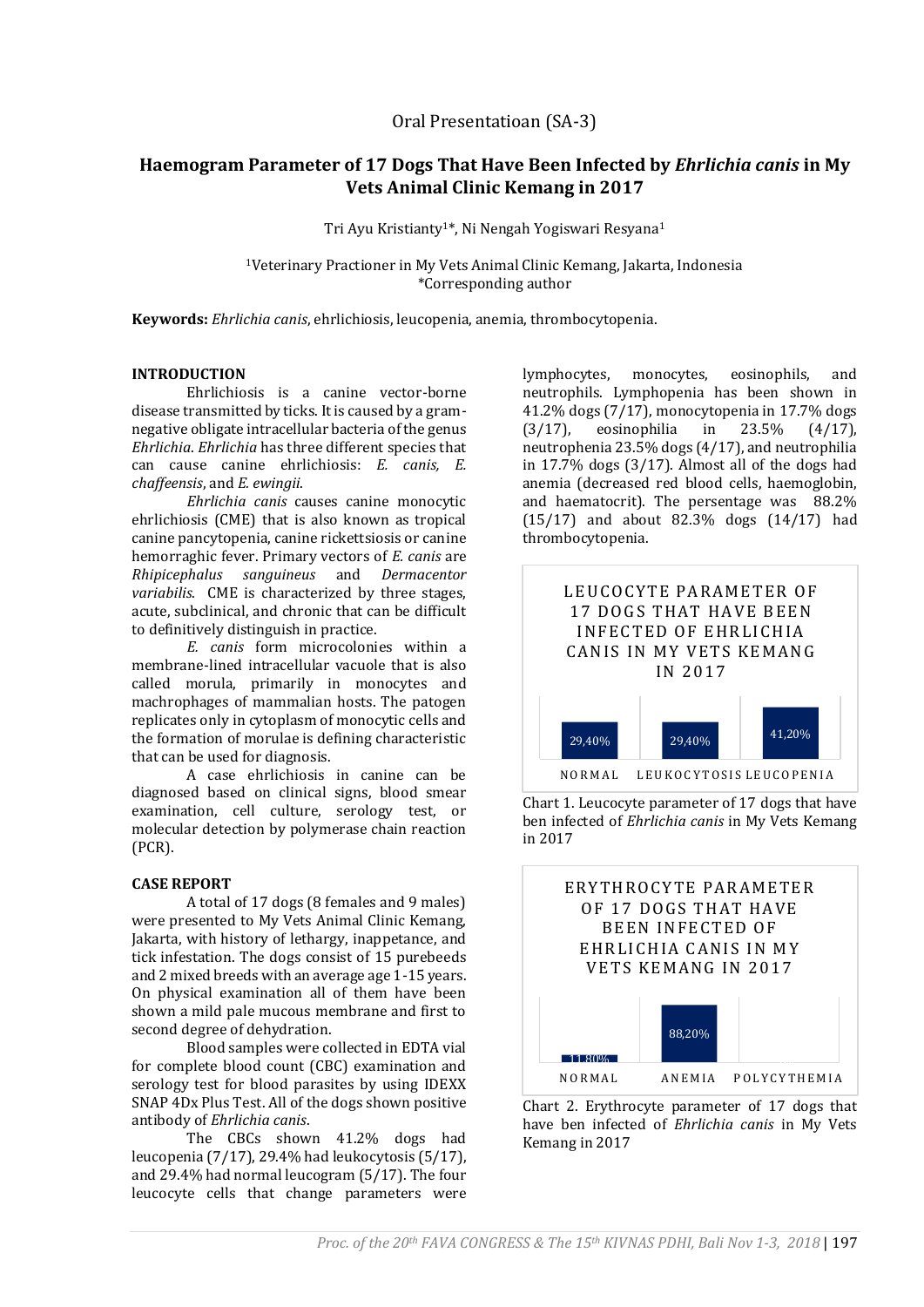# **Haemogram Parameter of 17 Dogs That Have Been Infected by** *Ehrlichia canis* **in My Vets Animal Clinic Kemang in 2017**

Tri Ayu Kristianty1\*, Ni Nengah Yogiswari Resyana<sup>1</sup>

<sup>1</sup>Veterinary Practioner in My Vets Animal Clinic Kemang, Jakarta, Indonesia \*Corresponding author

**Keywords:** *Ehrlichia canis*, ehrlichiosis, leucopenia, anemia, thrombocytopenia.

## **INTRODUCTION**

Ehrlichiosis is a canine vector-borne disease transmitted by ticks. It is caused by a gramnegative obligate intracellular bacteria of the genus *Ehrlichia*. *Ehrlichia* has three different species that can cause canine ehrlichiosis: *E. canis, E. chaffeensis*, and *E. ewingii*.

*Ehrlichia canis* causes canine monocytic ehrlichiosis (CME) that is also known as tropical canine pancytopenia, canine rickettsiosis or canine hemorraghic fever. Primary vectors of *E. canis* are *Rhipicephalus sanguineus* and *Dermacentor variabilis*. CME is characterized by three stages, acute, subclinical, and chronic that can be difficult to definitively distinguish in practice.

*E. canis* form microcolonies within a membrane-lined intracellular vacuole that is also called morula, primarily in monocytes and machrophages of mammalian hosts. The patogen replicates only in cytoplasm of monocytic cells and the formation of morulae is defining characteristic that can be used for diagnosis.

A case ehrlichiosis in canine can be diagnosed based on clinical signs, blood smear examination, cell culture, serology test, or molecular detection by polymerase chain reaction (PCR).

## **CASE REPORT**

A total of 17 dogs (8 females and 9 males) were presented to My Vets Animal Clinic Kemang, Jakarta, with history of lethargy, inappetance, and tick infestation. The dogs consist of 15 purebeeds and 2 mixed breeds with an average age 1-15 years. On physical examination all of them have been shown a mild pale mucous membrane and first to second degree of dehydration.

Blood samples were collected in EDTA vial for complete blood count (CBC) examination and serology test for blood parasites by using IDEXX SNAP 4Dx Plus Test. All of the dogs shown positive antibody of *Ehrlichia canis*.

The CBCs shown 41.2% dogs had leucopenia (7/17), 29.4% had leukocytosis (5/17), and 29.4% had normal leucogram (5/17). The four leucocyte cells that change parameters were

lymphocytes, monocytes, eosinophils, and neutrophils. Lymphopenia has been shown in 41.2% dogs (7/17), monocytopenia in 17.7% dogs (3/17), eosinophilia in 23.5% (4/17), neutrophenia 23.5% dogs (4/17), and neutrophilia in 17.7% dogs (3/17). Almost all of the dogs had anemia (decreased red blood cells, haemoglobin, and haematocrit). The persentage was 88.2% (15/17) and about 82.3% dogs (14/17) had thrombocytopenia.







Chart 2. Erythrocyte parameter of 17 dogs that have ben infected of *Ehrlichia canis* in My Vets Kemang in 2017